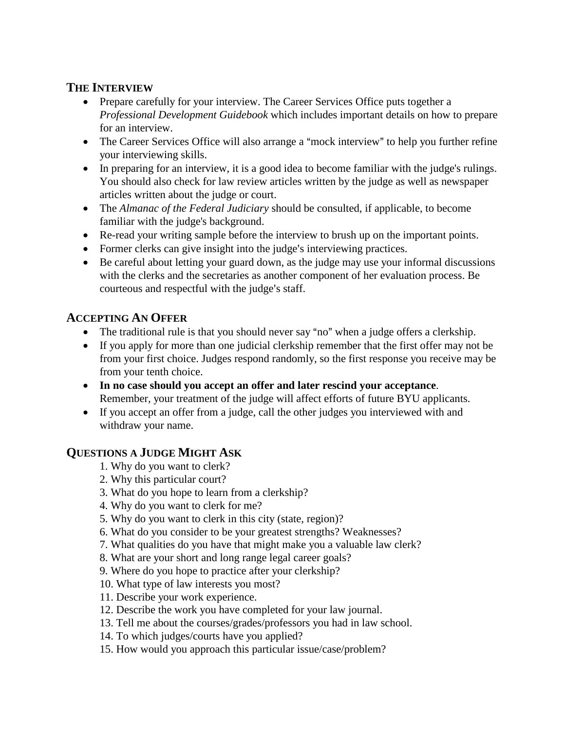### **THE INTERVIEW**

- Prepare carefully for your interview. The Career Services Office puts together a *Professional Development Guidebook* which includes important details on how to prepare for an interview.
- The Career Services Office will also arrange a "mock interview" to help you further refine your interviewing skills.
- In preparing for an interview, it is a good idea to become familiar with the judge's rulings. You should also check for law review articles written by the judge as well as newspaper articles written about the judge or court.
- The *Almanac of the Federal Judiciary* should be consulted, if applicable, to become familiar with the judge's background.
- Re-read your writing sample before the interview to brush up on the important points.
- Former clerks can give insight into the judge's interviewing practices.
- Be careful about letting your guard down, as the judge may use your informal discussions with the clerks and the secretaries as another component of her evaluation process. Be courteous and respectful with the judge's staff.

## **ACCEPTING AN OFFER**

- The traditional rule is that you should never say "no" when a judge offers a clerkship.
- If you apply for more than one judicial clerkship remember that the first offer may not be from your first choice. Judges respond randomly, so the first response you receive may be from your tenth choice.
- **In no case should you accept an offer and later rescind your acceptance**. Remember, your treatment of the judge will affect efforts of future BYU applicants.
- If you accept an offer from a judge, call the other judges you interviewed with and withdraw your name.

# **QUESTIONS A JUDGE MIGHT ASK**

- 1. Why do you want to clerk?
- 2. Why this particular court?
- 3. What do you hope to learn from a clerkship?
- 4. Why do you want to clerk for me?
- 5. Why do you want to clerk in this city (state, region)?
- 6. What do you consider to be your greatest strengths? Weaknesses?
- 7. What qualities do you have that might make you a valuable law clerk?
- 8. What are your short and long range legal career goals?
- 9. Where do you hope to practice after your clerkship?
- 10. What type of law interests you most?
- 11. Describe your work experience.
- 12. Describe the work you have completed for your law journal.
- 13. Tell me about the courses/grades/professors you had in law school.
- 14. To which judges/courts have you applied?
- 15. How would you approach this particular issue/case/problem?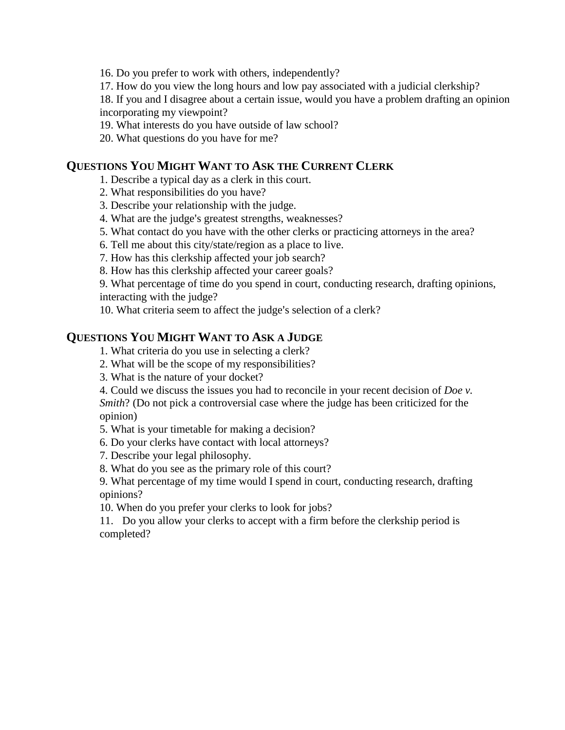16. Do you prefer to work with others, independently?

17. How do you view the long hours and low pay associated with a judicial clerkship?

18. If you and I disagree about a certain issue, would you have a problem drafting an opinion incorporating my viewpoint?

19. What interests do you have outside of law school?

20. What questions do you have for me?

#### **QUESTIONS YOU MIGHT WANT TO ASK THE CURRENT CLERK**

1. Describe a typical day as a clerk in this court.

2. What responsibilities do you have?

- 3. Describe your relationship with the judge.
- 4. What are the judge's greatest strengths, weaknesses?
- 5. What contact do you have with the other clerks or practicing attorneys in the area?
- 6. Tell me about this city/state/region as a place to live.

7. How has this clerkship affected your job search?

8. How has this clerkship affected your career goals?

9. What percentage of time do you spend in court, conducting research, drafting opinions, interacting with the judge?

10. What criteria seem to affect the judge's selection of a clerk?

### **QUESTIONS YOU MIGHT WANT TO ASK A JUDGE**

1. What criteria do you use in selecting a clerk?

- 2. What will be the scope of my responsibilities?
- 3. What is the nature of your docket?

4. Could we discuss the issues you had to reconcile in your recent decision of *Doe v. Smith*? (Do not pick a controversial case where the judge has been criticized for the opinion)

5. What is your timetable for making a decision?

6. Do your clerks have contact with local attorneys?

7. Describe your legal philosophy.

8. What do you see as the primary role of this court?

9. What percentage of my time would I spend in court, conducting research, drafting opinions?

10. When do you prefer your clerks to look for jobs?

11. Do you allow your clerks to accept with a firm before the clerkship period is completed?